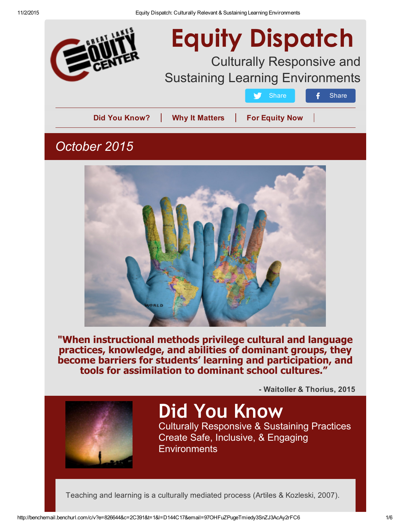

# Equity Dispatch

## Culturally Responsive and Sustaining Learning Environments

Did You Know? | Why It [Matters](#page-1-0) | For [Equity](#page-2-0) Now

[Share](http://benchemail.benchurl.com/c/l?u=59F3871&e=826644&c=2C391&t=1&l=D144C17&email=97OHFuZPugeTmiedy3SnZJ3AcAy2rFC6&seq=2) **f** Share

## *October 2015*



"When instructional methods privilege cultural and language practices, knowledge, and abilities of dominant groups, they become barriers for students' learning and participation, and tools for assimilation to dominant school cultures."

Waitoller & Thorius, 2015



## Did You Know

Culturally Responsive & Sustaining Practices Create Safe, Inclusive, & Engaging **Environments**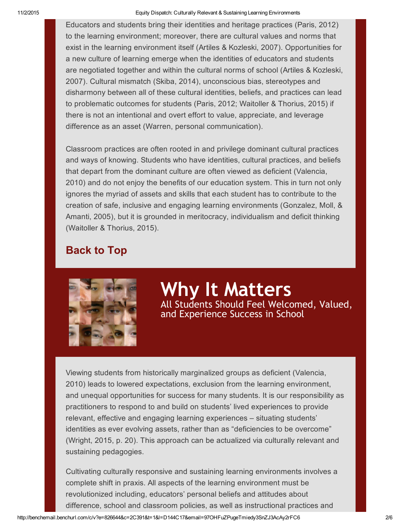<span id="page-1-0"></span>Educators and students bring their identities and heritage practices (Paris, 2012) to the learning environment; moreover, there are cultural values and norms that exist in the learning environment itself (Artiles & Kozleski, 2007). Opportunities for a new culture of learning emerge when the identities of educators and students are negotiated together and within the cultural norms of school (Artiles & Kozleski, 2007). Cultural mismatch (Skiba, 2014), unconscious bias, stereotypes and disharmony between all of these cultural identities, beliefs, and practices can lead to problematic outcomes for students (Paris, 2012; Waitoller & Thorius, 2015) if there is not an intentional and overt effort to value, appreciate, and leverage difference as an asset (Warren, personal communication).

Classroom practices are often rooted in and privilege dominant cultural practices and ways of knowing. Students who have identities, cultural practices, and beliefs that depart from the dominant culture are often viewed as deficient (Valencia, 2010) and do not enjoy the benefits of our education system. This in turn not only ignores the myriad of assets and skills that each student has to contribute to the creation of safe, inclusive and engaging learning environments (Gonzalez, Moll, & Amanti, 2005), but it is grounded in meritocracy, individualism and deficit thinking (Waitoller & Thorius, 2015).

### Back to Top



Why It Matters All Students Should Feel Welcomed, Valued, and Experience Success in School

Viewing students from historically marginalized groups as deficient (Valencia, 2010) leads to lowered expectations, exclusion from the learning environment, and unequal opportunities for success for many students. It is our responsibility as practitioners to respond to and build on students' lived experiences to provide relevant, effective and engaging learning experiences – situating students' identities as ever evolving assets, rather than as "deficiencies to be overcome" (Wright, 2015, p. 20). This approach can be actualized via culturally relevant and sustaining pedagogies.

Cultivating culturally responsive and sustaining learning environments involves a complete shift in praxis. All aspects of the learning environment must be revolutionized including, educators' personal beliefs and attitudes about difference, school and classroom policies, as well as instructional practices and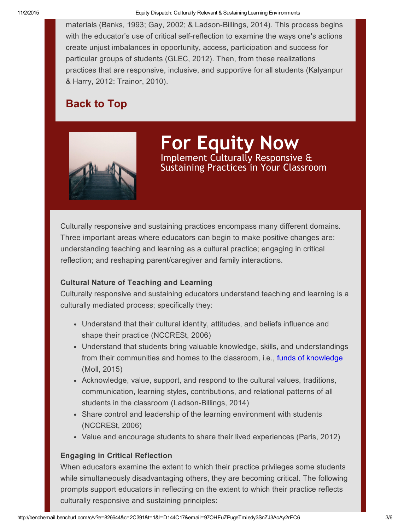<span id="page-2-0"></span>materials (Banks, 1993; Gay, 2002; & Ladson-Billings, 2014). This process begins with the educator's use of critical self-reflection to examine the ways one's actions create unjust imbalances in opportunity, access, participation and success for particular groups of students (GLEC, 2012). Then, from these realizations practices that are responsive, inclusive, and supportive for all students (Kalyanpur & Harry, 2012: Trainor, 2010).

## Back to Top



For Equity Now Implement Culturally Responsive & Sustaining Practices in Your Classroom

Culturally responsive and sustaining practices encompass many different domains. Three important areas where educators can begin to make positive changes are: understanding teaching and learning as a cultural practice; engaging in critical reflection; and reshaping parent/caregiver and family interactions.

#### Cultural Nature of Teaching and Learning

Culturally responsive and sustaining educators understand teaching and learning is a culturally mediated process; specifically they:

- Understand that their cultural identity, attitudes, and beliefs influence and shape their practice (NCCRESt, 2006)
- Understand that students bring valuable knowledge, skills, and understandings from their communities and homes to the classroom, i.e., funds of [knowledge](http://benchemail.benchurl.com/c/l?u=59E192A&e=826644&c=2C391&t=1&l=D144C17&email=97OHFuZPugeTmiedy3SnZJ3AcAy2rFC6&seq=1) (Moll, 2015)
- Acknowledge, value, support, and respond to the cultural values, traditions, communication, learning styles, contributions, and relational patterns of all students in the classroom (Ladson-Billings, 2014)
- Share control and leadership of the learning environment with students (NCCRESt, 2006)
- Value and encourage students to share their lived experiences (Paris, 2012)

#### Engaging in Critical Reflection

When educators examine the extent to which their practice privileges some students while simultaneously disadvantaging others, they are becoming critical. The following prompts support educators in reflecting on the extent to which their practice reflects culturally responsive and sustaining principles: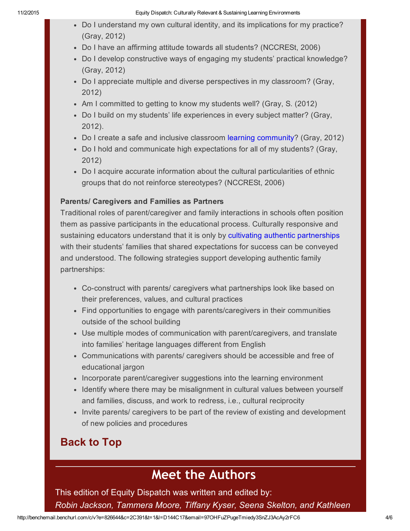- Do I understand my own cultural identity, and its implications for my practice? (Gray, 2012)
- Do I have an affirming attitude towards all students? (NCCRESt, 2006)
- Do I develop constructive ways of engaging my students' practical knowledge? (Gray, 2012)
- Do I appreciate multiple and diverse perspectives in my classroom? (Gray, 2012)
- Am I committed to getting to know my students well? (Gray, S. (2012)
- Do I build on my students' life experiences in every subject matter? (Gray, 2012).
- Do I create a safe and inclusive classroom learning [community?](http://benchemail.benchurl.com/c/l?u=59E192B&e=826644&c=2C391&t=1&l=D144C17&email=97OHFuZPugeTmiedy3SnZJ3AcAy2rFC6&seq=1) (Gray, 2012)
- Do I hold and communicate high expectations for all of my students? (Gray, 2012)
- Do I acquire accurate information about the cultural particularities of ethnic groups that do not reinforce stereotypes? (NCCRESt, 2006)

#### Parents/ Caregivers and Families as Partners

Traditional roles of parent/caregiver and family interactions in schools often position them as passive participants in the educational process. Culturally responsive and sustaining educators understand that it is only by cultivating authentic [partnerships](http://benchemail.benchurl.com/c/l?u=59E192C&e=826644&c=2C391&t=1&l=D144C17&email=97OHFuZPugeTmiedy3SnZJ3AcAy2rFC6&seq=1) with their students' families that shared expectations for success can be conveyed and understood. The following strategies support developing authentic family partnerships:

- Co-construct with parents/ caregivers what partnerships look like based on their preferences, values, and cultural practices
- Find opportunities to engage with parents/caregivers in their communities outside of the school building
- Use multiple modes of communication with parent/caregivers, and translate into families' heritage languages different from English
- Communications with parents/ caregivers should be accessible and free of educational jargon
- Incorporate parent/caregiver suggestions into the learning environment
- Identify where there may be misalignment in cultural values between yourself and families, discuss, and work to redress, i.e., cultural reciprocity
- Invite parents/ caregivers to be part of the review of existing and development of new policies and procedures

## Back to Top

## Meet the Authors

This edition of Equity Dispatch was written and edited by:

*Robin Jackson, Tammera Moore, Tiffany Kyser, Seena Skelton, and Kathleen*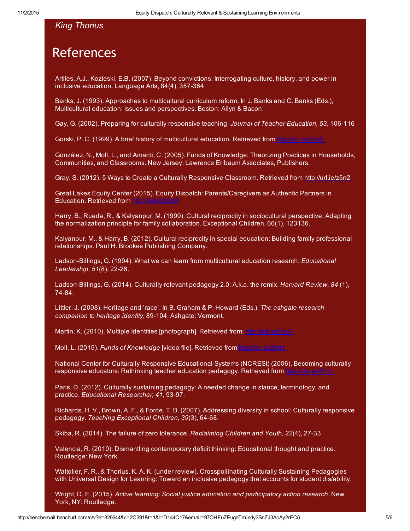## **References**

Artiles, A.J., Kozleski, E.B. (2007). Beyond convictions: Interrogating culture, history, and power in inclusive education. Language Arts,  $84(4)$ , 357-364.

Banks, J. (1993). Approaches to multicultural curriculum reform. In J. Banks and C. Banks (Eds.), Multicultural education: Issues and perspectives. Boston: Allyn & Bacon.

Gay, G. (2002). Preparing for culturally responsive teaching. *Journal of Teacher Education, 53*, 106116

Gorski, P. C. (1999). A brief history of multicultural education. Retrieved from [http://url.ie/z5u5](http://benchemail.benchurl.com/c/l?u=59E14CE&e=826644&c=2C391&t=1&l=D144C17&email=97OHFuZPugeTmiedy3SnZJ3AcAy2rFC6&seq=1)

González, N., Moll, L., and Amanti, C. (2005). Funds of Knowledge: Theorizing Practices in Households, Communities, and Classrooms. New Jersey: Lawrence Erlbaum Associates, Publishers.

Gray, S. (2012). 5 Ways to Create a Culturally Responsive Classroom. Retrieved from [http://url.ie/z5n2](http://benchemail.benchurl.com/c/l?u=59E14CF&e=826644&c=2C391&t=1&l=D144C17&email=97OHFuZPugeTmiedy3SnZJ3AcAy2rFC6&seq=1)

Great Lakes Equity Center (2015). Equity Dispatch: Parents/Caregivers as Authentic Partners in Education. Retrieved from [http://url.ie/z5n0](http://benchemail.benchurl.com/c/l?u=59E14D0&e=826644&c=2C391&t=1&l=D144C17&email=97OHFuZPugeTmiedy3SnZJ3AcAy2rFC6&seq=1)

Harry, B., Rueda, R., & Kalyanpur, M. (1999). Cultural reciprocity in sociocultural perspective: Adapting the normalization principle for family collaboration. Exceptional Children, 66(1), 123136.

Kalyanpur, M., & Harry, B. (2012). Cultural reciprocity in special education: Building family professional relationships. Paul H. Brookes Publishing Company.

Ladson-Billings, G. (1994). What we can learn from multicultural education research. *Educational Leadership, 51(8), 22-26.* 

Ladson-Billings, G. (2014). Culturally relevant pedagogy 2.0: A.k.a. the remix. *Harvard Review, 84* (1), 74-84.

Littler, J. (2008). Heritage and 'race'. In B. Graham & P. Howard (Eds.), *The ashgate research companion to heritage identity*, 89-104, Ashgate: Vermont.

Martin, K. (2010). Multiple Identities [photograph]. Retrieved from: [http://url.ie/z5u4](http://benchemail.benchurl.com/c/l?u=59E14D1&e=826644&c=2C391&t=1&l=D144C17&email=97OHFuZPugeTmiedy3SnZJ3AcAy2rFC6&seq=1)

Moll, L. (2015). *Funds of Knowledge* [video file]. Retrieved from [http://url.ie/z5n1](http://benchemail.benchurl.com/c/l?u=59E14D2&e=826644&c=2C391&t=1&l=D144C17&email=97OHFuZPugeTmiedy3SnZJ3AcAy2rFC6&seq=1)

National Center for Culturally Responsive Educational Systems (NCRESt) (2006). Becoming culturally responsive educators: Rethinking teacher education pedagogy. Retrieved from [http://url.ie/z5mz](http://benchemail.benchurl.com/c/l?u=59E14D3&e=826644&c=2C391&t=1&l=D144C17&email=97OHFuZPugeTmiedy3SnZJ3AcAy2rFC6&seq=1)

Paris, D. (2012). Culturally sustaining pedagogy: A needed change in stance, terminology, and practice. *Educational Researcher*, 41, 93-97.

Richards, H. V., Brown, A. F., & Forde, T. B. (2007). Addressing diversity in school: Culturally responsive pedagogy. *Teaching Exceptional Children*, 39(3), 64-68.

Skiba, R. (2014). The failure of zero tolerance. *Reclaiming Children and Youth, 22*(4), 2733.

Valencia, R. (2010). Dismantling contemporary deficit thinking: Educational thought and practice. Routledge: New York.

Waitoller, F. R., & Thorius, K. A. K. (under review). Crosspollinating Culturally Sustaining Pedagogies with Universal Design for Learning: Toward an inclusive pedagogy that accounts for student dis/ability.

Wright, D. E. (2015). *Active learning: Social justice education and participatory action research*. New York, NY: Routledge.